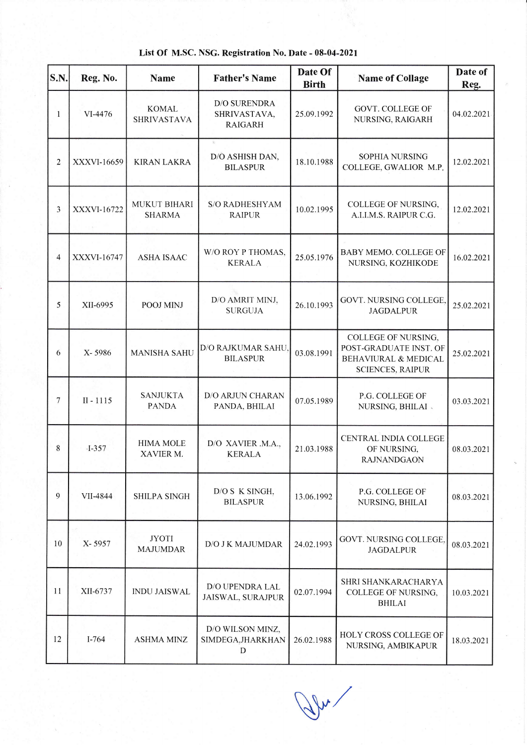| <b>S.N.</b>    | Reg. No.           | <b>Name</b>                        | <b>Father's Name</b>                                     | Date Of<br><b>Birth</b> | <b>Name of Collage</b>                                                                                      | Date of<br>Reg. |
|----------------|--------------------|------------------------------------|----------------------------------------------------------|-------------------------|-------------------------------------------------------------------------------------------------------------|-----------------|
| 1              | VI-4476            | <b>KOMAL</b><br><b>SHRIVASTAVA</b> | <b>D/O SURENDRA</b><br>SHRIVASTAVA,<br><b>RAIGARH</b>    | 25.09.1992              | <b>GOVT. COLLEGE OF</b><br>NURSING, RAIGARH                                                                 | 04.02.2021      |
| $\overline{2}$ | XXXVI-16659        | <b>KIRAN LAKRA</b>                 | $\mathcal{G}_\ell$<br>D/O ASHISH DAN,<br><b>BILASPUR</b> | 18.10.1988              | <b>SOPHIA NURSING</b><br>COLLEGE, GWALIOR M.P.                                                              | 12.02.2021      |
| 3              | <b>XXXVI-16722</b> | MUKUT BIHARI<br><b>SHARMA</b>      | <b>S/O RADHESHYAM</b><br><b>RAIPUR</b>                   | 10.02.1995              | COLLEGE OF NURSING,<br>A.I.I.M.S. RAIPUR C.G.                                                               | 12.02.2021      |
| 4              | XXXVI-16747        | <b>ASHA ISAAC</b>                  | W/O ROY P THOMAS,<br><b>KERALA</b>                       | 25.05.1976              | BABY MEMO. COLLEGE OF<br>NURSING, KOZHIKODE                                                                 | 16.02.2021      |
| 5              | XII-6995           | POOJ MINJ                          | D/O AMRIT MINJ,<br><b>SURGUJA</b>                        | 26.10.1993              | GOVT. NURSING COLLEGE,<br><b>JAGDALPUR</b>                                                                  | 25.02.2021      |
| 6              | X-5986             | <b>MANISHA SAHU</b>                | D/O RAJKUMAR SAHU<br><b>BILASPUR</b>                     | 03.08.1991              | COLLEGE OF NURSING,<br>POST-GRADUATE INST. OF<br><b>BEHAVIURAL &amp; MEDICAL</b><br><b>SCIENCES, RAIPUR</b> | 25.02.2021      |
| 7              | $II - 1115$        | <b>SANJUKTA</b><br><b>PANDA</b>    | D/O ARJUN CHARAN<br>PANDA, BHILAI                        | 07.05.1989              | P.G. COLLEGE OF<br>NURSING, BHILAI                                                                          | 03.03.2021      |
| 8              | $-I-357$           | <b>HIMA MOLE</b><br>XAVIER M.      | D/O XAVIER .M.A.,<br><b>KERALA</b>                       | 21.03.1988              | <b>CENTRAL INDIA COLLEGE</b><br>OF NURSING,<br><b>RAJNANDGAON</b>                                           | 08.03.2021      |
| 9              | VII-4844           | <b>SHILPA SINGH</b>                | D/O S K SINGH,<br><b>BILASPUR</b>                        | 13.06.1992              | P.G. COLLEGE OF<br>NURSING, BHILAI                                                                          | 08.03.2021      |
| 10             | X-5957             | <b>JYOTI</b><br><b>MAJUMDAR</b>    | D/O J K MAJUMDAR                                         | 24.02.1993              | GOVT. NURSING COLLEGE,<br><b>JAGDALPUR</b>                                                                  | 08.03.2021      |
| 11             | XII-6737           | <b>INDU JAISWAL</b>                | D/O UPENDRA LAL<br>JAISWAL, SURAJPUR                     | 02.07.1994              | SHRI SHANKARACHARYA<br><b>COLLEGE OF NURSING,</b><br><b>BHILAI</b>                                          | 10.03.2021      |
| 12             | $I - 764$          | <b>ASHMA MINZ</b>                  | D/O WILSON MINZ,<br>SIMDEGA, JHARKHAN<br>D               | 26.02.1988              | HOLY CROSS COLLEGE OF<br>NURSING, AMBIKAPUR                                                                 | 18.03.2021      |

## List Of M.SC. NSG. Registration No. Date - 08-04-2021

 $v$